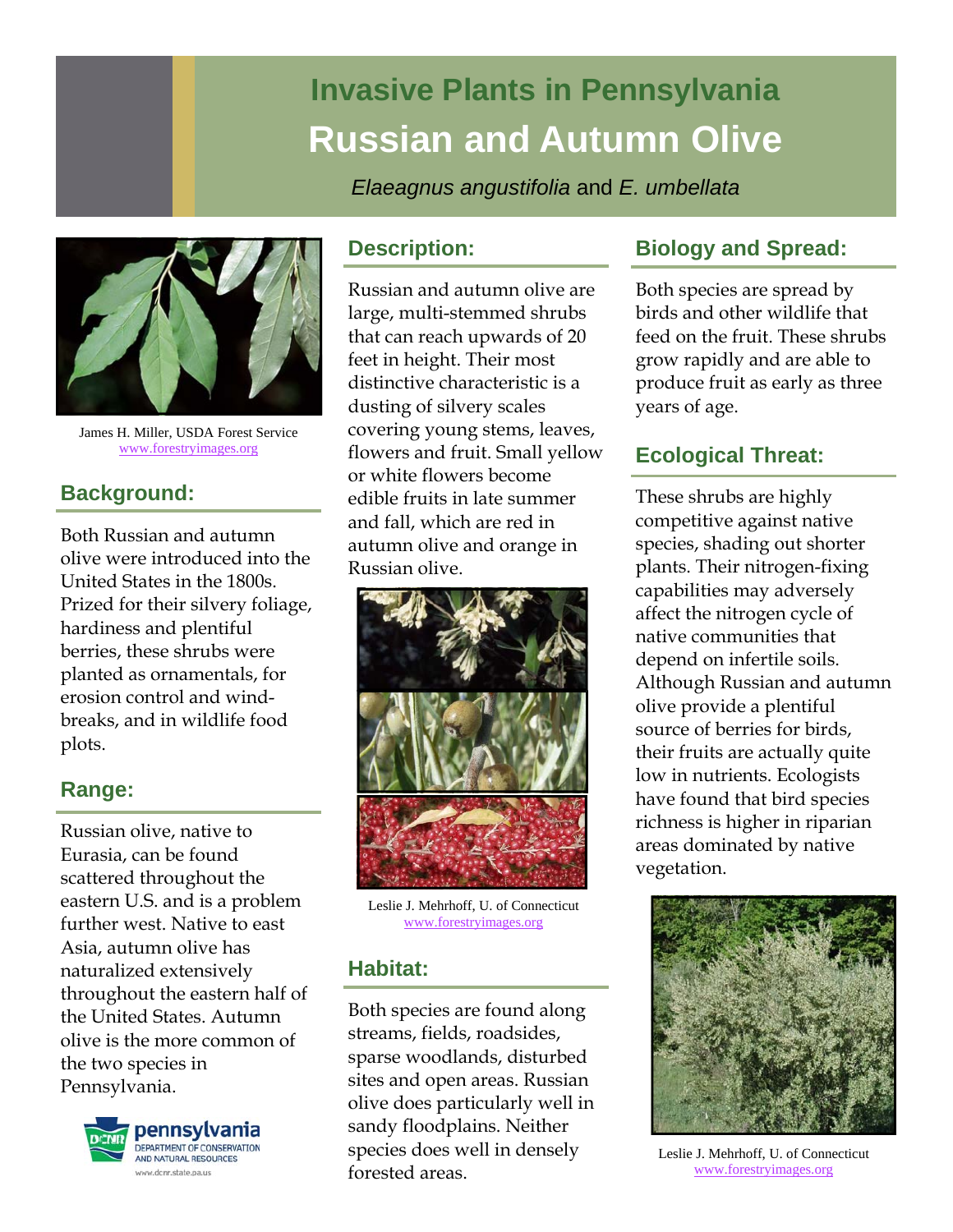# **Invasive Plants in Pennsylvania Russian and Autumn Olive**

*Elaeagnus angustifolia* and *E. umbellata* 



James H. Miller, USDA Forest Service www.forestryimages.org

# **Background:**

Both Russian and autumn olive were introduced into the United States in the 1800s. Prized for their silvery foliage, hardiness and plentiful berries, these shrubs were planted as ornamentals, for erosion control and windbreaks, and in wildlife food plots.

# **Range:**

Russian olive, native to Eurasia, can be found scattered throughout the eastern U.S. and is a problem further west. Native to east Asia, autumn olive has naturalized extensively throughout the eastern half of the United States. Autumn olive is the more common of the two species in Pennsylvania.



### **Description:**

Russian and autumn olive are large, multi-stemmed shrubs that can reach upwards of 20 feet in height. Their most distinctive characteristic is a dusting of silvery scales covering young stems, leaves, flowers and fruit. Small yellow or white flowers become edible fruits in late summer and fall, which are red in autumn olive and orange in Russian olive.



Leslie J. Mehrhoff, U. of Connecticut www.forestryimages.org

# **Habitat:**

Both species are found along streams, fields, roadsides, sparse woodlands, disturbed sites and open areas. Russian olive does particularly well in sandy floodplains. Neither species does well in densely forested areas.

# **Biology and Spread:**

Both species are spread by birds and other wildlife that feed on the fruit. These shrubs grow rapidly and are able to produce fruit as early as three years of age.

# **Ecological Threat:**

These shrubs are highly competitive against native species, shading out shorter plants. Their nitrogen-fixing capabilities may adversely affect the nitrogen cycle of native communities that depend on infertile soils. Although Russian and autumn olive provide a plentiful source of berries for birds, their fruits are actually quite low in nutrients. Ecologists have found that bird species richness is higher in riparian areas dominated by native vegetation.



Leslie J. Mehrhoff, U. of Connecticut www.forestryimages.org